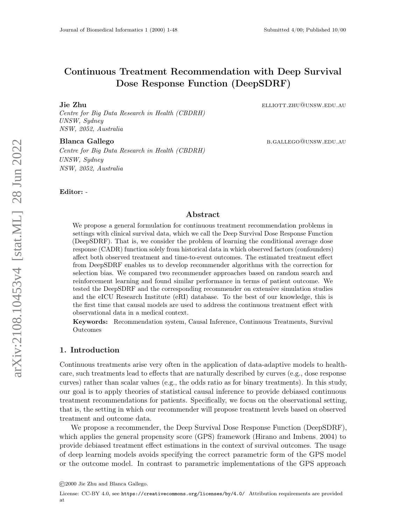# Continuous Treatment Recommendation with Deep Survival Dose Response Function (DeepSDRF)

### Jie Zhu elliott.zhu@unsw.edu.au

Centre for Big Data Research in Health (CBDRH) UNSW, Sydney NSW, 2052, Australia

Blanca Gallego b.gallego b.gallego b.gallego b.gallego b.gallego b.gallego b.gallego b.gallego b.gallego b.gallego b.gallego b.gallego b.gallego b.gallego b.gallego b.gallego b.gallego b.gallego b.gallego b.gallego b.galle

Centre for Big Data Research in Health (CBDRH) UNSW, Sydney NSW, 2052, Australia

Editor: -

## Abstract

We propose a general formulation for continuous treatment recommendation problems in settings with clinical survival data, which we call the Deep Survival Dose Response Function (DeepSDRF). That is, we consider the problem of learning the conditional average dose response (CADR) function solely from historical data in which observed factors (confounders) affect both observed treatment and time-to-event outcomes. The estimated treatment effect from DeepSDRF enables us to develop recommender algorithms with the correction for selection bias. We compared two recommender approaches based on random search and reinforcement learning and found similar performance in terms of patient outcome. We tested the DeepSDRF and the corresponding recommender on extensive simulation studies and the eICU Research Institute (eRI) database. To the best of our knowledge, this is the first time that causal models are used to address the continuous treatment effect with observational data in a medical context.

Keywords: Recommendation system, Causal Inference, Continuous Treatments, Survival Outcomes

## 1. Introduction

Continuous treatments arise very often in the application of data-adaptive models to healthcare, such treatments lead to effects that are naturally described by curves (e.g., dose response curves) rather than scalar values (e.g., the odds ratio as for binary treatments). In this study, our goal is to apply theories of statistical causal inference to provide debiased continuous treatment recommendations for patients. Specifically, we focus on the observational setting, that is, the setting in which our recommender will propose treatment levels based on observed treatment and outcome data.

We propose a recommender, the Deep Survival Dose Response Function (DeepSDRF), which applies the general propensity score (GPS) framework [\(Hirano and Imbens, 2004\)](#page-22-0) to provide debiased treatment effect estimations in the context of survival outcomes. The usage of deep learning models avoids specifying the correct parametric form of the GPS model or the outcome model. In contrast to parametric implementations of the GPS approach

<sup>©2000</sup> Jie Zhu and Blanca Gallego.

License: CC-BY 4.0, see <https://creativecommons.org/licenses/by/4.0/>. Attribution requirements are provided at .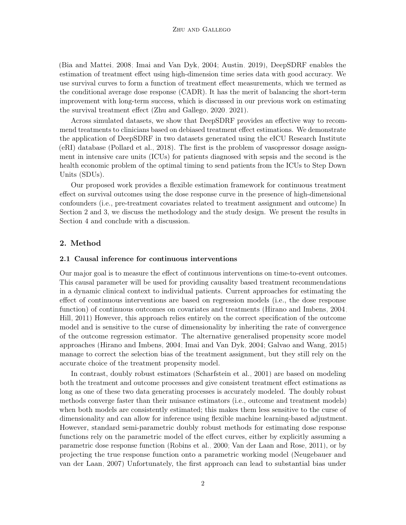[\(Bia and Mattei, 2008;](#page-22-1) [Imai and Van Dyk, 2004;](#page-22-2) [Austin, 2019\)](#page-22-3), DeepSDRF enables the estimation of treatment effect using high-dimension time series data with good accuracy. We use survival curves to form a function of treatment effect measurements, which we termed as the conditional average dose response (CADR). It has the merit of balancing the short-term improvement with long-term success, which is discussed in our previous work on estimating the survival treatment effect [\(Zhu and Gallego, 2020,](#page-23-0) [2021\)](#page-23-1).

Across simulated datasets, we show that DeepSDRF provides an effective way to recommend treatments to clinicians based on debiased treatment effect estimations. We demonstrate the application of DeepSDRF in two datasets generated using the eICU Research Institute (eRI) database [\(Pollard et al., 2018\)](#page-23-2). The first is the problem of vasopressor dosage assignment in intensive care units (ICUs) for patients diagnosed with sepsis and the second is the health economic problem of the optimal timing to send patients from the ICUs to Step Down Units (SDUs).

Our proposed work provides a flexible estimation framework for continuous treatment effect on survival outcomes using the dose response curve in the presence of high-dimensional confounders (i.e., pre-treatment covariates related to treatment assignment and outcome) In Section 2 and 3, we discuss the methodology and the study design. We present the results in Section 4 and conclude with a discussion.

## 2. Method

### 2.1 Causal inference for continuous interventions

Our major goal is to measure the effect of continuous interventions on time-to-event outcomes. This causal parameter will be used for providing causality based treatment recommendations in a dynamic clinical context to individual patients. Current approaches for estimating the effect of continuous interventions are based on regression models (i.e., the dose response function) of continuous outcomes on covariates and treatments [\(Hirano and Imbens, 2004;](#page-22-0) [Hill, 2011\)](#page-22-4) However, this approach relies entirely on the correct specification of the outcome model and is sensitive to the curse of dimensionality by inheriting the rate of convergence of the outcome regression estimator. The alternative generalised propensity score model approaches [\(Hirano and Imbens, 2004;](#page-22-0) [Imai and Van Dyk, 2004;](#page-22-2) [Galvao and Wang, 2015\)](#page-22-5) manage to correct the selection bias of the treatment assignment, but they still rely on the accurate choice of the treatment propensity model.

In contrast, doubly robust estimators [\(Scharfstein et al., 2001\)](#page-23-3) are based on modeling both the treatment and outcome processes and give consistent treatment effect estimations as long as one of these two data generating processes is accurately modeled. The doubly robust methods converge faster than their nuisance estimators (i.e., outcome and treatment models) when both models are consistently estimated; this makes them less sensitive to the curse of dimensionality and can allow for inference using flexible machine learning-based adjustment. However, standard semi-parametric doubly robust methods for estimating dose response functions rely on the parametric model of the effect curves, either by explicitly assuming a parametric dose response function [\(Robins et al., 2000;](#page-23-4) [Van der Laan and Rose, 2011\)](#page-23-5), or by projecting the true response function onto a parametric working model [\(Neugebauer and](#page-22-6) [van der Laan, 2007\)](#page-22-6) Unfortunately, the first approach can lead to substantial bias under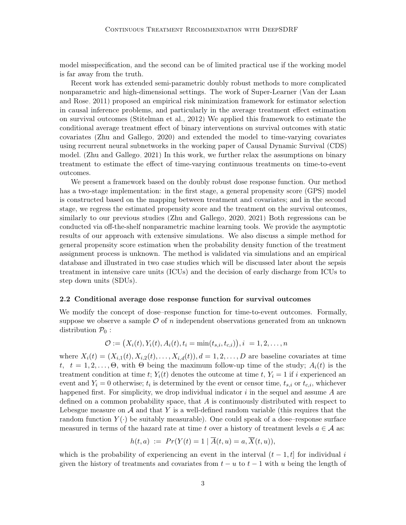model misspecification, and the second can be of limited practical use if the working model is far away from the truth.

Recent work has extended semi-parametric doubly robust methods to more complicated nonparametric and high-dimensional settings. The work of Super-Learner [\(Van der Laan](#page-23-5) [and Rose, 2011\)](#page-23-5) proposed an empirical risk minimization framework for estimator selection in causal inference problems, and particularly in the average treatment effect estimation on survival outcomes [\(Stitelman et al., 2012\)](#page-23-6) We applied this framework to estimate the conditional average treatment effect of binary interventions on survival outcomes with static covariates [\(Zhu and Gallego, 2020\)](#page-23-0) and extended the model to time-varying covariates using recurrent neural subnetworks in the working paper of Causal Dynamic Survival (CDS) model. [\(Zhu and Gallego, 2021\)](#page-23-1) In this work, we further relax the assumptions on binary treatment to estimate the effect of time-varying continuous treatments on time-to-event outcomes.

We present a framework based on the doubly robust dose response function. Our method has a two-stage implementation: in the first stage, a general propensity score (GPS) model is constructed based on the mapping between treatment and covariates; and in the second stage, we regress the estimated propensity score and the treatment on the survival outcomes, similarly to our previous studies [\(Zhu and Gallego, 2020,](#page-23-0) [2021\)](#page-23-1) Both regressions can be conducted via off-the-shelf nonparametric machine learning tools. We provide the asymptotic results of our approach with extensive simulations. We also discuss a simple method for general propensity score estimation when the probability density function of the treatment assignment process is unknown. The method is validated via simulations and an empirical database and illustrated in two case studies which will be discussed later about the sepsis treatment in intensive care units (ICUs) and the decision of early discharge from ICUs to step down units (SDUs).

#### 2.2 Conditional average dose response function for survival outcomes

We modify the concept of dose–response function for time-to-event outcomes. Formally, suppose we observe a sample  $\mathcal O$  of n independent observations generated from an unknown distribution  $P_0$ :

$$
\mathcal{O} := (X_i(t), Y_i(t), A_i(t), t_i = \min(t_{s,i}, t_{c,i})), i = 1, 2, \dots, n
$$

where  $X_i(t) = (X_{i,1}(t), X_{i,2}(t), \ldots, X_{i,d}(t)), d = 1, 2, \ldots, D$  are baseline covariates at time t,  $t = 1, 2, \ldots, \Theta$ , with  $\Theta$  being the maximum follow-up time of the study;  $A_i(t)$  is the treatment condition at time t;  $Y_i(t)$  denotes the outcome at time t,  $Y_i = 1$  if i experienced an event and  $Y_i = 0$  otherwise;  $t_i$  is determined by the event or censor time,  $t_{s,i}$  or  $t_{c,i}$ , whichever happened first. For simplicity, we drop individual indicator  $i$  in the sequel and assume  $A$  are defined on a common probability space, that  $A$  is continuously distributed with respect to Lebesgue measure on  $\mathcal A$  and that Y is a well-defined random variable (this requires that the random function  $Y(\cdot)$  be suitably measurable). One could speak of a dose–response surface measured in terms of the hazard rate at time t over a history of treatment levels  $a \in \mathcal{A}$  as:

$$
h(t,a) := Pr(Y(t) = 1 | \overline{A}(t,u) = a, \overline{X}(t,u)),
$$

which is the probability of experiencing an event in the interval  $(t-1,t]$  for individual i given the history of treatments and covariates from  $t - u$  to  $t - 1$  with u being the length of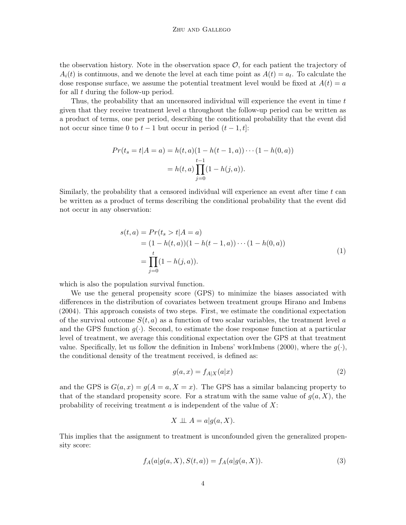the observation history. Note in the observation space  $\mathcal{O}$ , for each patient the trajectory of  $A_i(t)$  is continuous, and we denote the level at each time point as  $A(t) = a_t$ . To calculate the dose response surface, we assume the potential treatment level would be fixed at  $A(t) = a$ for all t during the follow-up period.

Thus, the probability that an uncensored individual will experience the event in time t given that they receive treatment level  $\alpha$  throughout the follow-up period can be written as a product of terms, one per period, describing the conditional probability that the event did not occur since time 0 to  $t-1$  but occur in period  $(t-1,t]$ :

$$
Pr(t_s = t | A = a) = h(t, a)(1 - h(t - 1, a)) \cdots (1 - h(0, a))
$$

$$
= h(t, a) \prod_{j=0}^{t-1} (1 - h(j, a)).
$$

<span id="page-3-2"></span>Similarly, the probability that a censored individual will experience an event after time  $t$  can be written as a product of terms describing the conditional probability that the event did not occur in any observation:

$$
s(t, a) = Pr(t_s > t | A = a)
$$
  
=  $(1 - h(t, a))(1 - h(t - 1, a)) \cdots (1 - h(0, a))$   
= 
$$
\prod_{j=0}^{t} (1 - h(j, a)).
$$
 (1)

which is also the population survival function.

We use the general propensity score (GPS) to minimize the biases associated with differences in the distribution of covariates between treatment groups [Hirano and Imbens](#page-22-0) [\(2004\)](#page-22-0). This approach consists of two steps. First, we estimate the conditional expectation of the survival outcome  $S(t, a)$  as a function of two scalar variables, the treatment level a and the GPS function  $q(\cdot)$ . Second, to estimate the dose response function at a particular level of treatment, we average this conditional expectation over the GPS at that treatment value. Specifically, let us follow the definition in Imbens' wor[kImbens](#page-22-7) [\(2000\)](#page-22-7), where the  $q(\cdot)$ , the conditional density of the treatment received, is defined as:

<span id="page-3-1"></span>
$$
g(a,x) = f_{A|X}(a|x)
$$
\n<sup>(2)</sup>

and the GPS is  $G(a, x) = g(A = a, X = x)$ . The GPS has a similar balancing property to that of the standard propensity score. For a stratum with the same value of  $g(a, X)$ , the probability of receiving treatment  $\alpha$  is independent of the value of  $X$ :

<span id="page-3-0"></span>
$$
X \perp \!\!\! \perp A = a|g(a, X).
$$

This implies that the assignment to treatment is unconfounded given the generalized propensity score:

$$
f_A(a|g(a, X), S(t, a)) = f_A(a|g(a, X)).
$$
\n(3)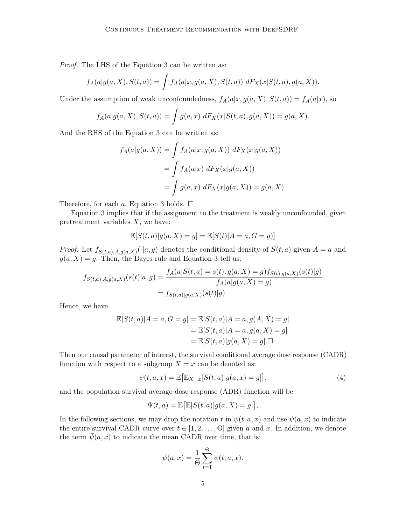Proof. The LHS of the Equation [3](#page-3-0) can be written as:

$$
f_A(a|g(a, X), S(t, a)) = \int f_A(a|x, g(a, X), S(t, a)) \, dF_X(x|S(t, a), g(a, X)).
$$

Under the assumption of weak unconfoundedness,  $f_A(a|x, g(a, X), S(t, a)) = f_A(a|x)$ , so

$$
f_A(a|g(a, X), S(t, a)) = \int g(a, x) dF_X(x|S(t, a), g(a, X)) = g(a, X).
$$

And the RHS of the Equation [3](#page-3-0) can be written as:

$$
f_A(a|g(a, X)) = \int f_A(a|x, g(a, X)) dF_X(x|g(a, X))
$$
  
= 
$$
\int f_A(a|x) dF_X(x|g(a, X))
$$
  
= 
$$
\int g(a, x) dF_X(x|g(a, X)) = g(a, X).
$$

Therefore, for each a, Equation [3](#page-3-0) holds.  $\Box$ 

Equation [3](#page-3-0) implies that if the assignment to the treatment is weakly unconfounded, given pretreatment variables  $X$ , we have:

$$
\mathbb{E}[S(t,a)|g(a,X) = g] = \mathbb{E}[S(t)|A = a, G = g)]
$$

*Proof.* Let  $f_{S(t,a)|A,g(a,X)}(\cdot|a,g)$  denotes the conditional density of  $S(t,a)$  given  $A = a$  and  $g(a, X) = g$ . Then, the Bayes rule and Equation [3](#page-3-0) tell us:

$$
f_{S(t,a)|A,g(a,X)}(s(t)|a,g) = \frac{f_A(a|S(t,a) = s(t), g(a,X) = g) f_{S(t)|g(a,X)}(s(t)|g)}{f_A(a|g(a,X) = g)}
$$
  
=  $f_{S(t,a)|g(a,X)}(s(t)|g)$ 

Hence, we have

$$
\mathbb{E}[S(t,a)|A=a, G=g] = \mathbb{E}[S(t,a)|A=a, g(A, X) = g]
$$

$$
= \mathbb{E}[S(t,a)|A=a, g(a, X) = g]
$$

$$
= \mathbb{E}[S(t,a)|g(a, X) = g].\Box
$$

Then our causal parameter of interest, the survival conditional average dose response (CADR) function with respect to a subgroup  $X = x$  can be denoted as:

$$
\psi(t,a,x) = \mathbb{E}\big[\mathbb{E}_{X=x}[S(t,a)|g(a,x) = g]\big],\tag{4}
$$

and the population survival average dose response (ADR) function will be:

$$
\Psi(t,a) = \mathbb{E}\big[\mathbb{E}[S(t,a)|g(a,X) = g]\big],
$$

In the following sections, we may drop the notation t in  $\psi(t, a, x)$  and use  $\psi(a, x)$  to indicate the entire survival CADR curve over  $t \in [1, 2, \ldots, \Theta]$  given a and x. In addition, we denote the term  $\bar{\psi}(a, x)$  to indicate the mean CADR over time, that is:

<span id="page-4-0"></span>
$$
\bar{\psi}(a,x) = \frac{1}{\Theta} \sum_{t=1}^{\Theta} \psi(t,a,x).
$$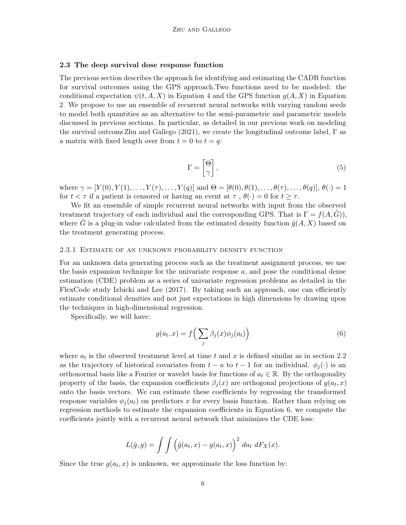#### 2.3 The deep survival dose response function

The previous section describes the approach for identifying and estimating the CADR function for survival outcomes using the GPS approach.Two functions need to be modeled: the conditional expectation  $\psi(t, A, X)$  in Equation [4](#page-4-0) and the GPS function  $g(A, X)$  in Equation [2.](#page-3-1) We propose to use an ensemble of recurrent neural networks with varying random seeds to model both quantities as an alternative to the semi-parametric and parametric models discussed in previous sections. In particular, as detailed in our previous work on modeling the survival outcom[eZhu and Gallego](#page-23-1) [\(2021\)](#page-23-1), we create the longitudinal outcome label,  $\Gamma$  as a matrix with fixed length over from  $t = 0$  to  $t = q$ :

$$
\Gamma = \begin{bmatrix} \Theta \\ \gamma \end{bmatrix},\tag{5}
$$

where  $\gamma = [Y(0), Y(1), \ldots, Y(\tau), \ldots, Y(q)]$  and  $\Theta = [\theta(0), \theta(1), \ldots, \theta(\tau), \ldots, \theta(q)], \theta(\cdot) = 1$ for  $t < \tau$  if a patient is censored or having an event at  $\tau$ ,  $\theta(\cdot) = 0$  for  $t \geq \tau$ .

We fit an ensemble of simple recurrent neural networks with input from the observed treatment trajectory of each individual and the corresponding GPS. That is  $\Gamma = f(A, G)$ , where  $\hat{G}$  is a plug-in value calculated from the estimated density function  $\hat{g}(A, X)$  based on the treatment generating process.

#### 2.3.1 Estimate of an unknown probability density function

For an unknown data generating process such as the treatment assignment process, we use the basis expansion technique for the univariate response  $a$ , and pose the conditional dense estimation (CDE) problem as a series of univariate regression problems as detailed in the FlexCode study [Izbicki and Lee](#page-22-8) [\(2017\)](#page-22-8). By taking such an approach, one can efficiently estimate conditional densities and not just expectations in high dimensions by drawing upon the techniques in high-dimensional regression.

Specifically, we will have:

<span id="page-5-0"></span>
$$
g(a_t, x) = f\left(\sum_j \beta_j(x)\phi_j(a_t)\right) \tag{6}
$$

where  $a_t$  is the observed treatment level at time t and x is defined similar as in section 2.2 as the trajectory of historical covariates from  $t - u$  to  $t - 1$  for an individual.  $\phi_i(\cdot)$  is an orthonormal basis like a Fourier or wavelet basis for functions of  $a_t \in \mathbb{R}$ . By the orthogonality property of the basis, the expansion coefficients  $\beta_j(x)$  are orthogonal projections of  $g(a_t, x)$ onto the basis vectors. We can estimate these coefficients by regressing the transformed response variables  $\phi_i(a_t)$  on predictors x for every basis function. Rather than relying on regression methods to estimate the expansion coefficients in Equation [6,](#page-5-0) we compute the coefficients jointly with a recurrent neural network that minimizes the CDE loss:

$$
L(\hat{g}, g) = \int \int \left(\hat{g}(a_t, x) - g(a_t, x)\right)^2 da_t dF_X(x).
$$

Since the true  $g(a_t, x)$  is unknown, we approximate the loss function by: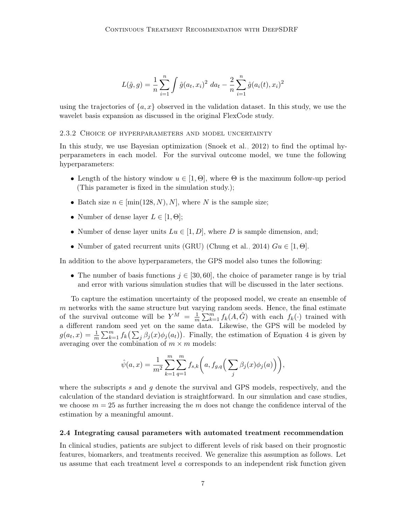$$
L(\hat{g}, g) = \frac{1}{n} \sum_{i=1}^{n} \int \hat{g}(a_t, x_i)^2 \, da_t - \frac{2}{n} \sum_{i=1}^{n} \hat{g}(a_i(t), x_i)^2
$$

using the trajectories of  $\{a, x\}$  observed in the validation dataset. In this study, we use the wavelet basis expansion as discussed in the original FlexCode study.

### 2.3.2 Choice of hyperparameters and model uncertainty

In this study, we use Bayesian optimization [\(Snoek et al., 2012\)](#page-23-7) to find the optimal hyperparameters in each model. For the survival outcome model, we tune the following hyperparameters:

- Length of the history window  $u \in [1, \Theta]$ , where  $\Theta$  is the maximum follow-up period (This parameter is fixed in the simulation study.);
- Batch size  $n \in [\min(128, N), N]$ , where N is the sample size;
- Number of dense layer  $L \in [1, \Theta]$ ;
- Number of dense layer units  $Lu \in [1, D]$ , where D is sample dimension, and;
- Number of gated recurrent units (GRU) [\(Chung et al., 2014\)](#page-22-9)  $Gu \in [1, \Theta]$ .

In addition to the above hyperparameters, the GPS model also tunes the following:

• The number of basis functions  $j \in [30, 60]$ , the choice of parameter range is by trial and error with various simulation studies that will be discussed in the later sections.

To capture the estimation uncertainty of the proposed model, we create an ensemble of  $m$  networks with the same structure but varying random seeds. Hence, the final estimate of the survival outcome will be  $Y^M = \frac{1}{n}$  $\frac{1}{m}\sum_{k=1}^m f_k(A,\hat{G})$  with each  $f_k(\cdot)$  trained with a different random seed yet on the same data. Likewise, the GPS will be modeled by  $g(a_t, x) = \frac{1}{m} \sum_{k=1}^m f_k(\sum_j \beta_j(x) \phi_j(a_t))$ . Finally, the estimation of Equation [4](#page-4-0) is given by averaging over the combination of  $m \times m$  models:

$$
\hat{\psi}(a,x) = \frac{1}{m^2} \sum_{k=1}^m \sum_{q=1}^m f_{s,k} \bigg( a, f_{g,q} \bigg( \sum_j \beta_j(x) \phi_j(a) \bigg) \bigg),\,
$$

where the subscripts s and q denote the survival and GPS models, respectively, and the calculation of the standard deviation is straightforward. In our simulation and case studies, we choose  $m = 25$  as further increasing the m does not change the confidence interval of the estimation by a meaningful amount.

#### 2.4 Integrating causal parameters with automated treatment recommendation

In clinical studies, patients are subject to different levels of risk based on their prognostic features, biomarkers, and treatments received. We generalize this assumption as follows. Let us assume that each treatment level  $\alpha$  corresponds to an independent risk function given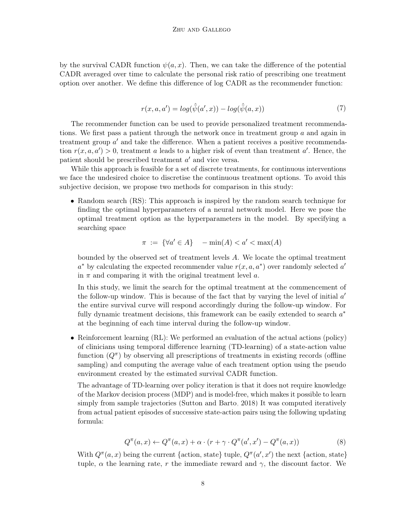<span id="page-7-0"></span>by the survival CADR function  $\psi(a, x)$ . Then, we can take the difference of the potential CADR averaged over time to calculate the personal risk ratio of prescribing one treatment option over another. We define this difference of log CADR as the recommender function:

$$
r(x, a, a') = \log(\hat{\psi}(a', x)) - \log(\hat{\psi}(a, x))
$$
\n<sup>(7)</sup>

The recommender function can be used to provide personalized treatment recommendations. We first pass a patient through the network once in treatment group  $\alpha$  and again in treatment group  $a'$  and take the difference. When a patient receives a positive recommendation  $r(x, a, a') > 0$ , treatment a leads to a higher risk of event than treatment a'. Hence, the patient should be prescribed treatment  $a'$  and vice versa.

While this approach is feasible for a set of discrete treatments, for continuous interventions we face the undesired choice to discretise the continuous treatment options. To avoid this subjective decision, we propose two methods for comparison in this study:

• Random search (RS): This approach is inspired by the random search technique for finding the optimal hyperparameters of a neural network model. Here we pose the optimal treatment option as the hyperparameters in the model. By specifying a searching space

$$
\pi := \{ \forall a' \in A \} \quad -\min(A) < a' < \max(A)
$$

bounded by the observed set of treatment levels A. We locate the optimal treatment  $a^*$  by calculating the expected recommender value  $r(x, a, a^*)$  over randomly selected  $a'$ in  $\pi$  and comparing it with the original treatment level a.

In this study, we limit the search for the optimal treatment at the commencement of the follow-up window. This is because of the fact that by varying the level of initial  $a'$ the entire survival curve will respond accordingly during the follow-up window. For fully dynamic treatment decisions, this framework can be easily extended to search  $a^*$ at the beginning of each time interval during the follow-up window.

• Reinforcement learning (RL): We performed an evaluation of the actual actions (policy) of clinicians using temporal difference learning (TD-learning) of a state-action value function  $(Q^{\pi})$  by observing all prescriptions of treatments in existing records (offline sampling) and computing the average value of each treatment option using the pseudo environment created by the estimated survival CADR function.

The advantage of TD-learning over policy iteration is that it does not require knowledge of the Markov decision process (MDP) and is model-free, which makes it possible to learn simply from sample trajectories [\(Sutton and Barto, 2018\)](#page-23-8) It was computed iteratively from actual patient episodes of successive state-action pairs using the following updating formula:

$$
Q^{\pi}(a,x) \leftarrow Q^{\pi}(a,x) + \alpha \cdot (r + \gamma \cdot Q^{\pi}(a',x') - Q^{\pi}(a,x))
$$
\n(8)

With  $Q^{\pi}(a, x)$  being the current {action, state} tuple,  $Q^{\pi}(a', x')$  the next {action, state} tuple,  $\alpha$  the learning rate, r the immediate reward and  $\gamma$ , the discount factor. We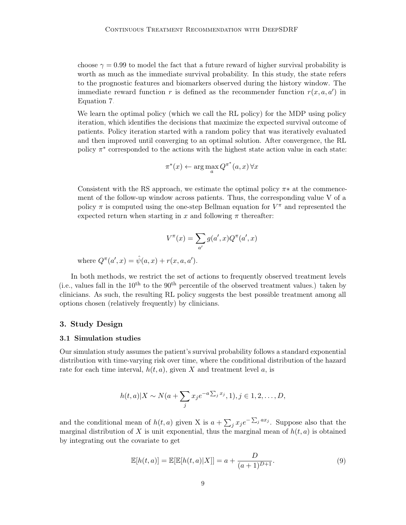choose  $\gamma = 0.99$  to model the fact that a future reward of higher survival probability is worth as much as the immediate survival probability. In this study, the state refers to the prognostic features and biomarkers observed during the history window. The immediate reward function r is defined as the recommender function  $r(x, a, a')$  in Equation [7.](#page-7-0)

We learn the optimal policy (which we call the RL policy) for the MDP using policy iteration, which identifies the decisions that maximize the expected survival outcome of patients. Policy iteration started with a random policy that was iteratively evaluated and then improved until converging to an optimal solution. After convergence, the RL policy  $\pi^*$  corresponded to the actions with the highest state action value in each state:

$$
\pi^*(x) \leftarrow \arg\max_a Q^{\pi^*}(a, x) \,\forall x
$$

Consistent with the RS approach, we estimate the optimal policy  $\pi*$  at the commencement of the follow-up window across patients. Thus, the corresponding value V of a policy  $\pi$  is computed using the one-step Bellman equation for  $V^{\pi}$  and represented the expected return when starting in x and following  $\pi$  thereafter:

$$
V^\pi(x) = \sum_{a'} g(a',x) Q^\pi(a',x)
$$

where  $Q^{\pi}(a', x) = \hat{\psi}(a, x) + r(x, a, a').$ 

In both methods, we restrict the set of actions to frequently observed treatment levels (i.e., values fall in the  $10^{th}$  to the  $90^{th}$  percentile of the observed treatment values.) taken by clinicians. As such, the resulting RL policy suggests the best possible treatment among all options chosen (relatively frequently) by clinicians.

## 3. Study Design

### 3.1 Simulation studies

Our simulation study assumes the patient's survival probability follows a standard exponential distribution with time-varying risk over time, where the conditional distribution of the hazard rate for each time interval,  $h(t, a)$ , given X and treatment level a, is

$$
h(t,a)|X \sim N(a+\sum_j x_j e^{-a\sum_j x_j}, 1), j \in 1,2,\ldots,D,
$$

and the conditional mean of  $h(t, a)$  given X is  $a + \sum_j x_j e^{-\sum_j a x_j}$ . Suppose also that the marginal distribution of X is unit exponential, thus the marginal mean of  $h(t, a)$  is obtained by integrating out the covariate to get

<span id="page-8-0"></span>
$$
\mathbb{E}[h(t,a)] = \mathbb{E}[\mathbb{E}[h(t,a)|X]] = a + \frac{D}{(a+1)^{D+1}}.
$$
\n(9)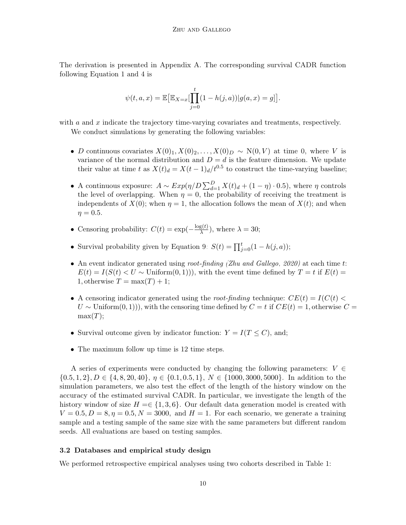The derivation is presented in Appendix A. The corresponding survival CADR function following Equation [1](#page-3-2) and [4](#page-4-0) is

$$
\psi(t, a, x) = \mathbb{E} \big[ \mathbb{E}_{X=x} \big[ \prod_{j=0}^{t} (1 - h(j, a)) | g(a, x) = g \big] \big].
$$

with  $a$  and  $x$  indicate the trajectory time-varying covariates and treatments, respectively.

We conduct simulations by generating the following variables:

- D continuous covariates  $X(0)_1, X(0)_2, \ldots, X(0)_D \sim N(0, V)$  at time 0, where V is variance of the normal distribution and  $D = d$  is the feature dimension. We update their value at time t as  $X(t)<sub>d</sub> = X(t-1)<sub>d</sub>/t<sup>0.5</sup>$  to construct the time-varying baseline;
- A continuous exposure:  $A \sim Exp(\eta/D \sum_{d=1}^{D} X(t)_{d} + (1 \eta) \cdot 0.5)$ , where  $\eta$  controls the level of overlapping. When  $\eta = 0$ , the probability of receiving the treatment is independents of  $X(0)$ ; when  $\eta = 1$ , the allocation follows the mean of  $X(t)$ ; and when  $n = 0.5$ .
- Censoring probability:  $C(t) = \exp(-\frac{\log(t)}{\lambda})$  $\frac{g(t)}{\lambda}$ , where  $\lambda = 30$ ;
- Survival probability given by Equation [9:](#page-8-0)  $S(t) = \prod_{j=0}^{t} (1 h(j, a))$ ;
- An event indicator generated using root-finding [\(Zhu and Gallego, 2020\)](#page-23-0) at each time t:  $E(t) = I(S(t) < U \sim \text{Uniform}(0, 1)),$  with the event time defined by  $T = t$  if  $E(t) =$ 1, otherwise  $T = \max(T) + 1$ ;
- A censoring indicator generated using the root-finding technique:  $CE(t) = I(C(t))$  $U \sim$  Uniform(0, 1)), with the censoring time defined by  $C = t$  if  $CE(t) = 1$ , otherwise  $C =$  $max(T)$ ;
- Survival outcome given by indicator function:  $Y = I(T \leq C)$ , and;
- The maximum follow up time is 12 time steps.

A series of experiments were conducted by changing the following parameters:  $V \in$  $\{0.5, 1, 2\}, D \in \{4, 8, 20, 40\}, \eta \in \{0.1, 0.5, 1\}, N \in \{1000, 3000, 5000\}.$  In addition to the simulation parameters, we also test the effect of the length of the history window on the accuracy of the estimated survival CADR. In particular, we investigate the length of the history window of size  $H = \{1, 3, 6\}$ . Our default data generation model is created with  $V = 0.5, D = 8, \eta = 0.5, N = 3000$ , and  $H = 1$ . For each scenario, we generate a training sample and a testing sample of the same size with the same parameters but different random seeds. All evaluations are based on testing samples.

## 3.2 Databases and empirical study design

We performed retrospective empirical analyses using two cohorts described in Table 1: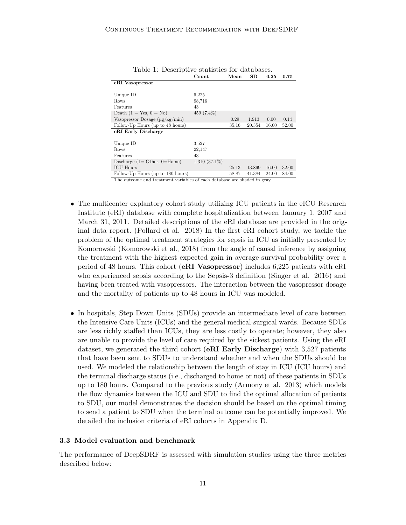|                                      | Count           | Mean  | SD     | 0.25  | 0.75  |
|--------------------------------------|-----------------|-------|--------|-------|-------|
| eRI Vasopressor                      |                 |       |        |       |       |
|                                      |                 |       |        |       |       |
| Unique ID                            | 6.225           |       |        |       |       |
| Rows                                 | 98,716          |       |        |       |       |
| Features                             | 43              |       |        |       |       |
| Death $(1 = Yes, 0 = No)$            | 459 (7.4%)      |       |        |       |       |
| Vasopressor Dosage $(\mu g/kg/min)$  |                 | 0.29  | 1.913  | 0.00  | 0.14  |
| Follow-Up Hours (up to 48 hours)     |                 | 35.16 | 20.354 | 16.00 | 52.00 |
| eRI Early Discharge                  |                 |       |        |       |       |
|                                      |                 |       |        |       |       |
| Unique ID                            | 3.527           |       |        |       |       |
| Rows                                 | 22,147          |       |        |       |       |
| Features                             | 43              |       |        |       |       |
| Discharge $(1 = 0$ ther, $0 =$ Home) | $1,310(37.1\%)$ |       |        |       |       |
| <b>ICU</b> Hours                     |                 | 25.13 | 13.899 | 16.00 | 32.00 |
| Follow-Up Hours (up to 180 hours)    |                 | 58.87 | 41.384 | 24.00 | 84.00 |

Table 1: Descriptive statistics for databases.

The outcome and treatment variables of each database are shaded in gray.

- The multicenter explantory cohort study utilizing ICU patients in the eICU Research Institute (eRI) database with complete hospitalization between January 1, 2007 and March 31, 2011. Detailed descriptions of the eRI database are provided in the original data report. [\(Pollard et al., 2018\)](#page-23-2) In the first eRI cohort study, we tackle the problem of the optimal treatment strategies for sepsis in ICU as initially presented by Komorowski [\(Komorowski et al., 2018\)](#page-22-10) from the angle of causal inference by assigning the treatment with the highest expected gain in average survival probability over a period of 48 hours. This cohort (eRI Vasopressor) includes 6,225 patients with eRI who experienced sepsis according to the Sepsis-3 definition [\(Singer et al., 2016\)](#page-23-9) and having been treated with vasopressors. The interaction between the vasopressor dosage and the mortality of patients up to 48 hours in ICU was modeled.
- In hospitals, Step Down Units (SDUs) provide an intermediate level of care between the Intensive Care Units (ICUs) and the general medical-surgical wards. Because SDUs are less richly staffed than ICUs, they are less costly to operate; however, they also are unable to provide the level of care required by the sickest patients. Using the eRI dataset, we generated the third cohort (eRI Early Discharge) with 3,527 patients that have been sent to SDUs to understand whether and when the SDUs should be used. We modeled the relationship between the length of stay in ICU (ICU hours) and the terminal discharge status (i.e., discharged to home or not) of these patients in SDUs up to 180 hours. Compared to the previous study [\(Armony et al., 2013\)](#page-21-0) which models the flow dynamics between the ICU and SDU to find the optimal allocation of patients to SDU, our model demonstrates the decision should be based on the optimal timing to send a patient to SDU when the terminal outcome can be potentially improved. We detailed the inclusion criteria of eRI cohorts in Appendix D.

### 3.3 Model evaluation and benchmark

The performance of DeepSDRF is assessed with simulation studies using the three metrics described below: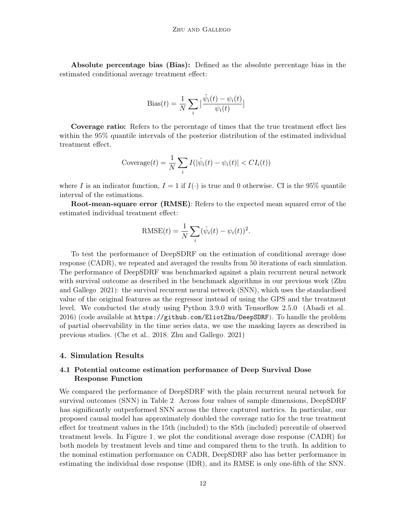Absolute percentage bias (Bias): Defined as the absolute percentage bias in the estimated conditional average treatment effect:

Bias(t) = 
$$
\frac{1}{N} \sum_{i} \left| \frac{\hat{\psi}_i(t) - \psi_i(t)}{\psi_i(t)} \right|
$$

Coverage ratio: Refers to the percentage of times that the true treatment effect lies within the 95% quantile intervals of the posterior distribution of the estimated individual treatment effect.

$$
\(\operatorname{coverage}(t) = \frac{1}{N} \sum_{i} I(|\hat{\psi}_i(t) - \psi_i(t)| < CI_i(t))
$$

where I is an indicator function,  $I = 1$  if  $I(\cdot)$  is true and 0 otherwise. CI is the 95% quantile interval of the estimations.

Root-mean-square error (RMSE): Refers to the expected mean squared error of the estimated individual treatment effect:

RMSE(t) = 
$$
\frac{1}{N} \sum_{i} (\hat{\psi}_i(t) - \psi_i(t))^2.
$$

To test the performance of DeepSDRF on the estimation of conditional average dose response (CADR), we repeated and averaged the results from 50 iterations of each simulation. The performance of DeepSDRF was benchmarked against a plain recurrent neural network with survival outcome as described in the benchmark algorithms in our previous work [\(Zhu](#page-23-1) [and Gallego, 2021\)](#page-23-1): the survival recurrent neural network (SNN), which uses the standardised value of the original features as the regressor instead of using the GPS and the treatment level. We conducted the study using Python 3.9.0 with Tensorflow 2.5.0 [\(Abadi et al.,](#page-21-1) [2016\)](#page-21-1) (code available at <https://github.com/EliotZhu/DeepSDRF>). To handle the problem of partial observability in the time series data, we use the masking layers as described in previous studies. [\(Che et al., 2018;](#page-22-11) [Zhu and Gallego, 2021\)](#page-23-1)

### 4. Simulation Results

## 4.1 Potential outcome estimation performance of Deep Survival Dose Response Function

We compared the performance of DeepSDRF with the plain recurrent neural network for survival outcomes (SNN) in Table [2.](#page-12-0) Across four values of sample dimensions, DeepSDRF has significantly outperformed SNN across the three captured metrics. In particular, our proposed causal model has approximately doubled the coverage ratio for the true treatment effect for treatment values in the 15th (included) to the 85th (included) percentile of observed treatment levels. In Figure [1,](#page-12-1) we plot the conditional average dose response (CADR) for both models by treatment levels and time and compared them to the truth. In addition to the nominal estimation performance on CADR, DeepSDRF also has better performance in estimating the individual dose response (IDR), and its RMSE is only one-fifth of the SNN.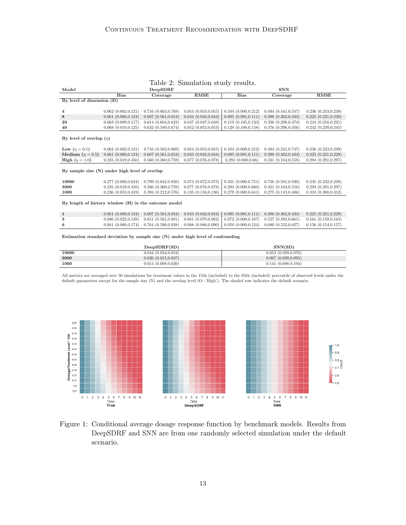### <span id="page-12-0"></span>Table 2: Simulation study results.

| Model                                                |                          | DeepSDRF                 |                          | <b>SNN</b>               |                          |                     |  |
|------------------------------------------------------|--------------------------|--------------------------|--------------------------|--------------------------|--------------------------|---------------------|--|
|                                                      | <b>Bias</b>              | Coverage                 | <b>RMSE</b>              | <b>Bias</b>              | Coverage                 | <b>RMSE</b>         |  |
| By level of dimension $(D)$                          |                          |                          |                          |                          |                          |                     |  |
|                                                      |                          |                          |                          |                          |                          |                     |  |
| $\overline{\bf 4}$                                   | $0.062$ $(0.002, 0.121)$ | 0.716(0.663, 0.769)      | $0.054$ $(0.053, 0.055)$ | 0.104(0.000, 0.212)      | 0.494(0.441, 0.547)      | 0.236(0.233, 0.239) |  |
| 8                                                    | 0.061(0.000, 0.124)      | $0.607$ $(0.561, 0.654)$ | 0.043(0.042, 0.044)      | 0.095(0.091, 0.111)      | $0.398$ $(0.362, 0.434)$ | 0.225(0.221, 0.229) |  |
| 20                                                   | $0.063$ $(0.009, 0.117)$ | 0.614(0.604, 0.623)      | 0.047(0.047, 0.048)      | 0.119(0.105, 0.133)      | 0.336(0.298, 0.374)      | 0.218(0.216, 0.221) |  |
| 40                                                   | $0.068$ $(0.010, 0.125)$ | 0.632(0.589, 0.674)      | 0.052(0.052, 0.053)      | 0.129(0.100, 0.158)      | 0.376(0.296, 0.456)      | 0.242(0.239, 0.245) |  |
|                                                      |                          |                          |                          |                          |                          |                     |  |
| By level of overlap $(\eta)$                         |                          |                          |                          |                          |                          |                     |  |
|                                                      |                          |                          |                          |                          |                          |                     |  |
| Low $(\eta = 0.1)$                                   | $0.062$ $(0.002, 0.121)$ | 0.716(0.562, 0.869)      | $0.054$ $(0.053, 0.055)$ | 0.104(0.000, 0.212)      | 0.494(0.241, 0.747)      | 0.236(0.233, 0.239) |  |
| Medium ( $\eta = 0.5$ )                              | 0.061(0.000, 0.124)      | 0.607(0.561, 0.654)      | 0.043(0.042, 0.044)      | 0.095(0.091, 0.111)      | $0.398$ $(0.362, 0.434)$ | 0.225(0.221, 0.229) |  |
| <b>High</b> $(\eta = 1.0)$                           | 0.235(0.019, 0.450)      | 0.560(0.360, 0.759)      | $0.077$ $(0.076, 0.078)$ | 0.293(0.000, 0.66)       | 0.331(0.104, 0.558)      | 0.294(0.291, 0.297) |  |
|                                                      |                          |                          |                          |                          |                          |                     |  |
| By sample size $(N)$ under high level of overlap     |                          |                          |                          |                          |                          |                     |  |
|                                                      |                          |                          |                          |                          |                          |                     |  |
| 10000                                                | 0.277(0.000, 0.624)      | 0.799(0.642, 0.956)      | $0.073$ $(0.072, 0.075)$ | 0.331(0.000, 0.751)      | $0.756$ $(0.581, 0.930)$ | 0.235(0.232, 0.239) |  |
| 3000                                                 | 0.235(0.019, 0.450)      | 0.560(0.360, 0.759)      | $0.077$ $(0.076, 0.078)$ | 0.293(0.000, 0.660)      | 0.331(0.104, 0.558)      | 0.294(0.291, 0.297) |  |
| 1000                                                 | 0.236(0.053, 0.419)      | 0.394(0.212, 0.576)      | 0.135(0.134, 0.136)      | 0.279(0.000, 0.641)      | 0.275(0.145, 0.406)      | 0.310(0.308, 0.312) |  |
|                                                      |                          |                          |                          |                          |                          |                     |  |
| By length of history window (H) in the outcome model |                          |                          |                          |                          |                          |                     |  |
|                                                      |                          |                          |                          |                          |                          |                     |  |
| 1                                                    | 0.061(0.000, 0.124)      | 0.607(0.561, 0.654)      | 0.043(0.042, 0.044)      | 0.095(0.091, 0.111)      | 0.398(0.362, 0.434)      | 0.225(0.221, 0.229) |  |
| 3                                                    | 0.080(0.022, 0.138)      | 0.651(0.501, 0.801)      | $0.081$ $(0.079, 0.082)$ | $0.072$ $(0.000, 0.167)$ | 0.527(0.392, 0.661)      | 0.161(0.159, 0.163) |  |

6 0.081 (0.000,0.174) 0.764 (0.590,0.938) 0.088 (0.086,0.090) 0.059 (0.000,0.124) 0.680 (0.532,0.827) 0.156 (0.154,0.157)

Estimation standard deviation by sample size (N) under high level of confounding

|       | DeepSDRF(SD)       | SNN(SD)             |
|-------|--------------------|---------------------|
| 10000 | 0.044(0.034.0.054) | 0.053(0.029.0.076)  |
| 3000  | 0.026(0.015.0.037) | 0.067(0.039, 0.095) |
| 1000  | 0.014(0.008.0.020) | 0.141(0.088, 0.194) |

All metrics are averaged over 50 simulations for treatment values in the 15th (included) to the 85th (included) percentile of observed levels under the default parameters except for the sample size  $(N)$  and the overlap level  $(O="High')$ . The shaded row indicates the default scenario.



<span id="page-12-1"></span>Figure 1: Conditional average dosage response function by benchmark models. Results from DeepSDRF and SNN are from one randomly selected simulation under the default scenario.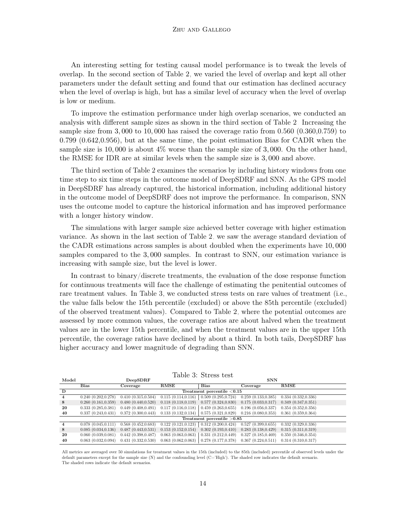### Zhu and Gallego

An interesting setting for testing causal model performance is to tweak the levels of overlap. In the second section of Table [2,](#page-12-0) we varied the level of overlap and kept all other parameters under the default setting and found that our estimation has declined accuracy when the level of overlap is high, but has a similar level of accuracy when the level of overlap is low or medium.

To improve the estimation performance under high overlap scenarios, we conducted an analysis with different sample sizes as shown in the third section of Table [2.](#page-12-0) Increasing the sample size from 3,000 to 10,000 has raised the coverage ratio from 0.560 (0.360,0.759) to 0.799 (0.642,0.956), but at the same time, the point estimation Bias for CADR when the sample size is 10, 000 is about 4% worse than the sample size of 3, 000. On the other hand, the RMSE for IDR are at similar levels when the sample size is 3, 000 and above.

The third section of Table [2](#page-12-0) examines the scenarios by including history windows from one time step to six time steps in the outcome model of DeepSDRF and SNN. As the GPS model in DeepSDRF has already captured, the historical information, including additional history in the outcome model of DeepSDRF does not improve the performance. In comparison, SNN uses the outcome model to capture the historical information and has improved performance with a longer history window.

The simulations with larger sample size achieved better coverage with higher estimation variance. As shown in the last section of Table [2,](#page-12-0) we saw the average standard deviation of the CADR estimations across samples is about doubled when the experiments have 10, 000 samples compared to the 3, 000 samples. In contrast to SNN, our estimation variance is increasing with sample size, but the level is lower.

In contrast to binary/discrete treatments, the evaluation of the dose response function for continuous treatments will face the challenge of estimating the penitential outcomes of rare treatment values. In Table [3,](#page-13-0) we conducted stress tests on rare values of treatment (i.e., the value falls below the 15th percentile (excluded) or above the 85th percentile (excluded) of the observed treatment values). Compared to Table [2,](#page-12-0) where the potential outcomes are assessed by more common values, the coverage ratios are about halved when the treatment values are in the lower 15th percentile, and when the treatment values are in the upper 15th percentile, the coverage ratios have declined by about a third. In both tails, DeepSDRF has higher accuracy and lower magnitude of degrading than SNN.

<span id="page-13-0"></span>

| Table 3: Stress test |                               |                          |                     |                              |                     |                     |  |  |  |  |
|----------------------|-------------------------------|--------------------------|---------------------|------------------------------|---------------------|---------------------|--|--|--|--|
| Model                |                               | DeepSDRF                 |                     |                              | <b>SNN</b>          |                     |  |  |  |  |
|                      | <b>Bias</b>                   | Coverage                 | RMSE                | <b>Bias</b>                  | Coverage            | RMSE                |  |  |  |  |
| D                    | Treatment percentile $< 0.15$ |                          |                     |                              |                     |                     |  |  |  |  |
| $\overline{4}$       | 0.240(0.202, 0.278)           | 0.410(0.315, 0.504)      | 0.115(0.114, 0.116) | 0.509(0.295.0.724)           | 0.259(0.133, 0.385) | 0.334(0.332, 0.336) |  |  |  |  |
| 8                    | 0.260(0.161, 0.359)           | 0.480(0.440, 0.520)      | 0.118(0.118, 0.119) | 0.577(0.324, 0.830)          | 0.175(0.033, 0.317) | 0.349(0.347, 0.351) |  |  |  |  |
| 20                   | 0.333(0.285.0.381)            | 0.449(0.408, 0.491)      | 0.117(0.116, 0.118) | 0.459(0.263, 0.655)          | 0.196(0.056, 0.337) | 0.354(0.352, 0.356) |  |  |  |  |
| 40                   | 0.337(0.243, 0.431)           | 0.372(0.300, 0.443)      | 0.133(0.132, 0.134) | 0.575(0.321, 0.829)          | 0.216(0.080, 0.353) | 0.361(0.359, 0.364) |  |  |  |  |
|                      |                               |                          |                     | Treatment percentile $>0.85$ |                     |                     |  |  |  |  |
| $\overline{4}$       | $0.078$ $(0.045, 0.111)$      | $0.568$ $(0.452, 0.683)$ | 0.122(0.121, 0.123) | 0.312(0.200, 0.424)          | 0.527(0.399, 0.655) | 0.332(0.329, 0.336) |  |  |  |  |
| 8                    | 0.085(0.034, 0.136)           | 0.487(0.443, 0.531)      | 0.153(0.152, 0.154) | 0.302(0.193, 0.410)          | 0.283(0.138, 0.429) | 0.315(0.311, 0.319) |  |  |  |  |
| 20                   | 0.060(0.039, 0.081)           | $0.442$ $(0.398, 0.487)$ | 0.063(0.063, 0.063) | 0.331(0.212, 0.449)          | 0.327(0.185, 0.469) | 0.350(0.346, 0.354) |  |  |  |  |
| 40                   | 0.063(0.032.0.094)            | 0.431(0.332,0.530)       | 0.063(0.062, 0.063) | $0.278$ $(0.177, 0.378)$     | 0.367(0.224, 0.511) | 0.314(0.310.0.317)  |  |  |  |  |

All metrics are averaged over 50 simulations for treatment values in the 15th (included) to the 85th (included) percentile of observed levels under the default parameters except for the sample size (N) and the confounding level (C='High'). The shaded row indicates the default scenario. The shaded rows indicate the default scenarios.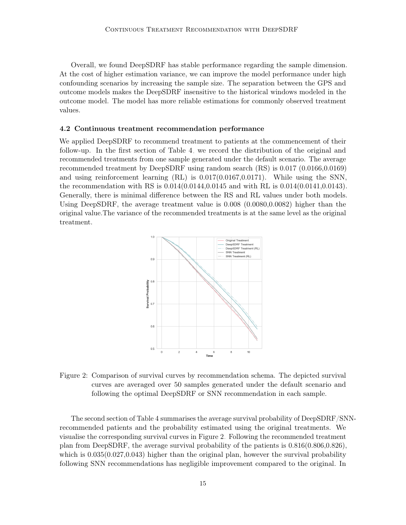Overall, we found DeepSDRF has stable performance regarding the sample dimension. At the cost of higher estimation variance, we can improve the model performance under high confounding scenarios by increasing the sample size. The separation between the GPS and outcome models makes the DeepSDRF insensitive to the historical windows modeled in the outcome model. The model has more reliable estimations for commonly observed treatment values.

#### 4.2 Continuous treatment recommendation performance

We applied DeepSDRF to recommend treatment to patients at the commencement of their follow-up. In the first section of Table [4,](#page-15-0) we record the distribution of the original and recommended treatments from one sample generated under the default scenario. The average recommended treatment by DeepSDRF using random search (RS) is 0.017 (0.0166,0.0169) and using reinforcement learning (RL) is 0.017(0.0167,0.0171). While using the SNN, the recommendation with RS is 0.014(0.0144,0.0145 and with RL is 0.014(0.0141,0.0143). Generally, there is minimal difference between the RS and RL values under both models. Using DeepSDRF, the average treatment value is 0.008 (0.0080,0.0082) higher than the original value.The variance of the recommended treatments is at the same level as the original treatment.



<span id="page-14-0"></span>Figure 2: Comparison of survival curves by recommendation schema. The depicted survival curves are averaged over 50 samples generated under the default scenario and following the optimal DeepSDRF or SNN recommendation in each sample.

The second section of Table [4](#page-15-0) summarises the average survival probability of DeepSDRF/SNNrecommended patients and the probability estimated using the original treatments. We visualise the corresponding survival curves in Figure [2.](#page-14-0) Following the recommended treatment plan from DeepSDRF, the average survival probability of the patients is  $0.816(0.806,0.826)$ , which is  $0.035(0.027,0.043)$  higher than the original plan, however the survival probability following SNN recommendations has negligible improvement compared to the original. In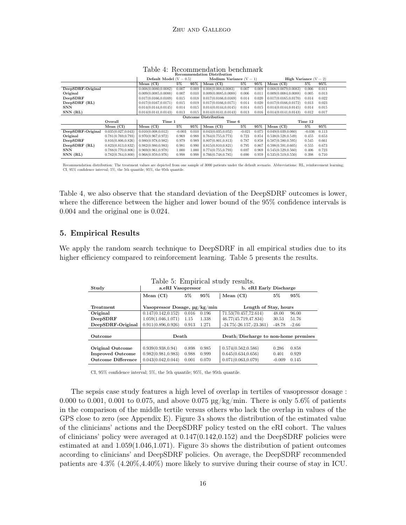|                             |                     | Default Model $(V = 0.5)$ |          |       | Medium Variance $(V = 1)$<br><b>High Variance</b> $(V = 2)$ |                   |        |                       |          |       |
|-----------------------------|---------------------|---------------------------|----------|-------|-------------------------------------------------------------|-------------------|--------|-----------------------|----------|-------|
|                             |                     | Mean (CI)                 | $5\%$    | 95%   | Mean (CI)                                                   | $5\%$             | $95\%$ | Mean (CI)             | $5\%$    | 95%   |
| DeepSDRF-Original           |                     | 0.008(0.0080.0.0082)      | 0.007    | 0.009 | 0.008(0.008.0.0083)                                         | 0.007             | 0.009  | 0.008(0.0079.0.0083)  | 0.006    | 0.011 |
| Original                    |                     | 0.009(0.0085.0.0088)      | 0.007    | 0.010 | 0.009(0.0085.0.0088)                                        | 0.006             | 0.011  | 0.009(0.0084.0.0088)  | 0.005    | 0.013 |
| DeepSDRF                    |                     | 0.017(0.0166.0.0169)      | 0.015    | 0.018 | 0.017(0.0166, 0.0169)                                       | 0.014             | 0.020  | 0.017(0.0165, 0.0170) | 0.014    | 0.022 |
| DeepSDRF (RL)               |                     | 0.017(0.0167.0.0171)      | 0.015    | 0.019 | 0.017(0.0166, 0.0171)                                       | 0.014             | 0.020  | 0.017(0.0166, 0.0172) | 0.013    | 0.023 |
| <b>SNN</b>                  |                     | 0.014(0.0144.0.0145)      | 0.014    | 0.015 | 0.014(0.0144.0.0145)                                        | 0.014             | 0.015  | 0.014(0.0144.0.0145)  | 0.014    | 0.015 |
| SNN (RL)                    |                     | 0.014(0.0141.0.0143)      | 0.013    | 0.015 | 0.014(0.0141, 0.0143)                                       | 0.013             | 0.016  | 0.014(0.0141.0.0143)  | 0.012    | 0.017 |
| <b>Outcome Distribution</b> |                     |                           |          |       |                                                             |                   |        |                       |          |       |
|                             | Overall             | Time 1                    |          |       |                                                             | Time 6<br>Time 12 |        |                       |          |       |
|                             | Mean (CI)           | Mean (CI)                 | $5\%$    | 95%   | Mean (CI)                                                   | $5\%$             | 95%    | Mean $(CI)$           | $5\%$    | 95%   |
| DeepSDRF-Original           | 0.035(0.027.0.043)  | 0.010(0.008, 0.012)       | $-0.003$ | 0.010 | 0.043(0.035, 0.052)                                         | $-0.021$          | 0.075  | 0.049(0.039, 0.060)   | $-0.036$ | 0.113 |
| Original                    | 0.781(0.769, 0.793) | 0.970(0.967.0.972)        | 0.969    | 0.988 | 0.764(0.755.0.773)                                          | 0.723             | 0.854  | 0.538(0.528.0.549)    | 0.455    | 0.653 |
| DeepSDRF                    | 0.816(0.806, 0.826) | 0.980(0.978.0.982)        | 0.979    | 0.989 | 0.807(0.801, 0.813)                                         | 0.787             | 0.858  | 0.587(0.580.0.595)    | 0.545    | 0.661 |
| DeepSDRF (RL)               | 0.823(0.813, 0.832) | 0.982(0.980.0.983)        | 0.981    | 0.990 | 0.815(0.810.0.821)                                          | 0.795             | 0.867  | 0.598(0.591, 0.605)   | 0.555    | 0.673 |
| <b>SNN</b>                  | 0.788(0.770, 0.806) | 0.969(0.961.0.978)        | 1.000    | 1.000 | 0.774(0.755, 0.793)                                         | 0.697             | 0.969  | 0.545(0.529.0.560)    | 0.406    | 0.723 |
| SNN (RL)                    | 0.782(0.764, 0.800) | 0.968(0.959.0.976)        | 0.998    | 0.998 | 0.766(0.748.0.785)                                          | 0.690             | 0.959  | 0.535(0.519, 0.550)   | 0.398    | 0.710 |

<span id="page-15-0"></span>Table 4: Recommendation benchmark<br>Recommendation Distribution

Recommendation distribution: The treatment values are depicted from one sample of 3000 patients under the default scenario. Abbreviations: RL, reinforcement learning; CI, 95% confidence interval; 5%, the 5th quantile; 95%, the 95th quantile.

Table [4,](#page-15-0) we also observe that the standard deviation of the DeepSDRF outcomes is lower, where the difference between the higher and lower bound of the 95% confidence intervals is 0.004 and the original one is 0.024.

## 5. Empirical Results

We apply the random search technique to DeepSDRF in all empirical studies due to its higher efficiency compared to reinforcement learning. Table 5 presents the results.

| rable 5. Emplement study results. |                               |       |       |                                      |          |         |  |  |
|-----------------------------------|-------------------------------|-------|-------|--------------------------------------|----------|---------|--|--|
| Study                             | a.eRI Vasopressor             |       |       | b. eRI Early Discharge               |          |         |  |  |
|                                   | Mean (CI)                     | $5\%$ | 95%   | Mean $(CI)$                          | 5%       | 95%     |  |  |
|                                   |                               |       |       |                                      |          |         |  |  |
| Treatment                         | Vasopressor Dosage, µg/kg/min |       |       | Length of Stay, hours                |          |         |  |  |
| Original                          | 0.147(0.142, 0.152)           | 0.016 | 0.196 | 71.53(70.457,72.614)                 | 48.00    | 96.00   |  |  |
| DeepSDRF                          | 1.059(1.046, 1.071)           | 1.15  | 1.338 | 46.77(45.719,47.834)                 | 30.53    | 51.76   |  |  |
| DeepSDRF-Original                 | 0.911(0.896, 0.926)           | 0.913 | 1.271 | $-24.75(-26.157,-23.361)$            | $-48.78$ | $-2.66$ |  |  |
|                                   |                               |       |       |                                      |          |         |  |  |
| Outcome                           | Death                         |       |       | Death/Discharge to non-home premises |          |         |  |  |
|                                   |                               |       |       |                                      |          |         |  |  |
| <b>Original Outcome</b>           | 0.939(0.938.0.94)             | 0.898 | 0.985 | 0.574(0.562, 0.586)                  | 0.286    | 0.858   |  |  |
| <b>Improved Outcome</b>           | 0.982(0.981, 0.983)           | 0.988 | 0.999 | 0.645(0.634, 0.656)                  | 0.401    | 0.929   |  |  |
| <b>Outcome Difference</b>         | 0.043(0.042, 0.044)           | 0.001 | 0.070 | 0.071(0.063, 0.079)                  | $-0.009$ | 0.145   |  |  |

<span id="page-15-1"></span>Table 5: Empirical study results.

CI, 95% confidence interval; 5%, the 5th quantile; 95%, the 95th quantile.

The sepsis case study features a high level of overlap in tertiles of vasopressor dosage : 0.000 to 0.001, 0.001 to 0.075, and above 0.075  $\frac{\mu g}{\text{kg}}/\frac{\text{m}}{\text{m}}$ . There is only 5.6% of patients in the comparison of the middle tertile versus others who lack the overlap in values of the GPS close to zero (see Appendix E). Figure [3a](#page-16-0) shows the distribution of the estimated value of the clinicians' actions and the DeepSDRF policy tested on the eRI cohort. The values of clinicians' policy were averaged at  $0.147(0.142,0.152)$  and the DeepSDRF policies were estimated at and 1.059(1.046,1.071). Figure [3b](#page-16-0) shows the distribution of patient outcomes according to clinicians' and DeepSDRF policies. On average, the DeepSDRF recommended patients are 4.3% (4.20%,4.40%) more likely to survive during their course of stay in ICU.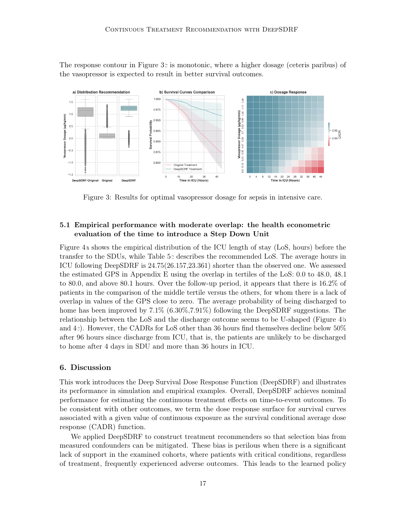The response contour in Figure [3c](#page-16-0) is monotonic, where a higher dosage (ceteris paribus) of the vasopressor is expected to result in better survival outcomes.



<span id="page-16-0"></span>Figure 3: Results for optimal vasopressor dosage for sepsis in intensive care.

## 5.1 Empirical performance with moderate overlap: the health econometric evaluation of the time to introduce a Step Down Unit

Figure [4a](#page-17-0) shows the empirical distribution of the ICU length of stay (LoS, hours) before the transfer to the SDUs, while Table [5c](#page-15-1) describes the recommended LoS. The average hours in ICU following DeepSDRF is 24.75(26.157,23.361) shorter than the observed one. We assessed the estimated GPS in Appendix E using the overlap in tertiles of the LoS: 0.0 to 48.0, 48.1 to 80.0, and above 80.1 hours. Over the follow-up period, it appears that there is 16.2% of patients in the comparison of the middle tertile versus the others, for whom there is a lack of overlap in values of the GPS close to zero. The average probability of being discharged to home has been improved by  $7.1\%$  (6.30%,  $7.91\%$ ) following the DeepSDRF suggestions. The relationship between the LoS and the discharge outcome seems to be U-shaped (Figure [4b](#page-17-0) and [4c](#page-17-0)). However, the CADRs for LoS other than 36 hours find themselves decline below 50% after 96 hours since discharge from ICU, that is, the patients are unlikely to be discharged to home after 4 days in SDU and more than 36 hours in ICU.

### 6. Discussion

This work introduces the Deep Survival Dose Response Function (DeepSDRF) and illustrates its performance in simulation and empirical examples. Overall, DeepSDRF achieves nominal performance for estimating the continuous treatment effects on time-to-event outcomes. To be consistent with other outcomes, we term the dose response surface for survival curves associated with a given value of continuous exposure as the survival conditional average dose response (CADR) function.

We applied DeepSDRF to construct treatment recommenders so that selection bias from measured confounders can be mitigated. These bias is perilous when there is a significant lack of support in the examined cohorts, where patients with critical conditions, regardless of treatment, frequently experienced adverse outcomes. This leads to the learned policy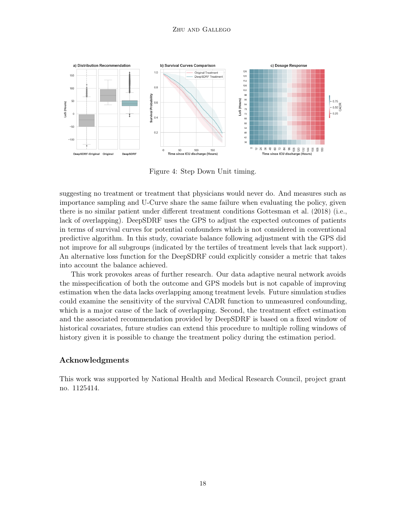

<span id="page-17-0"></span>Figure 4: Step Down Unit timing.

suggesting no treatment or treatment that physicians would never do. And measures such as importance sampling and U-Curve share the same failure when evaluating the policy, given there is no similar patient under different treatment conditions [Gottesman et al.](#page-22-12) [\(2018\)](#page-22-12) (i.e., lack of overlapping). DeepSDRF uses the GPS to adjust the expected outcomes of patients in terms of survival curves for potential confounders which is not considered in conventional predictive algorithm. In this study, covariate balance following adjustment with the GPS did not improve for all subgroups (indicated by the tertiles of treatment levels that lack support). An alternative loss function for the DeepSDRF could explicitly consider a metric that takes into account the balance achieved.

This work provokes areas of further research. Our data adaptive neural network avoids the misspecification of both the outcome and GPS models but is not capable of improving estimation when the data lacks overlapping among treatment levels. Future simulation studies could examine the sensitivity of the survival CADR function to unmeasured confounding, which is a major cause of the lack of overlapping. Second, the treatment effect estimation and the associated recommendation provided by DeepSDRF is based on a fixed window of historical covariates, future studies can extend this procedure to multiple rolling windows of history given it is possible to change the treatment policy during the estimation period.

## Acknowledgments

This work was supported by National Health and Medical Research Council, project grant no. 1125414.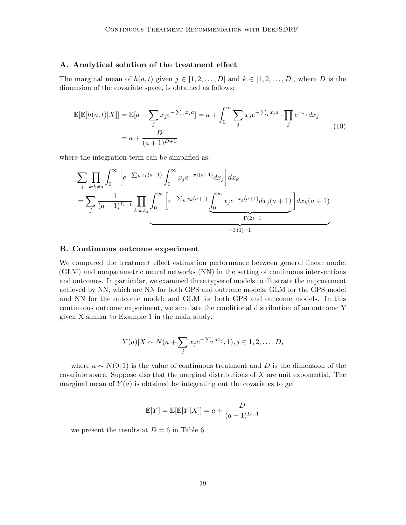## A. Analytical solution of the treatment effect

The marginal mean of  $h(a, t)$  given  $j \in [1, 2, \ldots, D]$  and  $k \in [1, 2, \ldots, D]$ , where D is the dimension of the covariate space, is obtained as follows:

$$
\mathbb{E}[\mathbb{E}[h(a,t)|X]] = \mathbb{E}[a + \sum_{j} x_j e^{-\sum_{j} x_j a}] = a + \int_0^\infty \sum_{j} x_j e^{-\sum_{j} x_j a} \cdot \prod_{j} e^{-x_j} dx_j
$$
  
=  $a + \frac{D}{(a+1)^{D+1}}$  (10)

where the integration term can be simplified as:

$$
\sum_{j} \prod_{k:k \neq j} \int_{0}^{\infty} \left[ e^{-\sum_{k} x_{k}(a+1)} \int_{0}^{\infty} x_{j} e^{-x_{j}(a+1)} dx_{j} \right] dx_{k}
$$
\n
$$
= \sum_{j} \frac{1}{(a+1)^{D+1}} \prod_{k:k \neq j} \int_{0}^{\infty} \left[ e^{-\sum_{k} x_{k}(a+1)} \underbrace{\int_{0}^{\infty} x_{j} e^{-x_{j}(a+1)} dx_{j}(a+1)}_{= \Gamma(2)=1} \right] dx_{k}(a+1)
$$

### B. Continuous outcome experiment

We compared the treatment effect estimation performance between general linear model (GLM) and nonparametric neural networks (NN) in the setting of continuous interventions and outcomes. In particular, we examined three types of models to illustrate the improvement achieved by NN, which are NN for both GPS and outcome models; GLM for the GPS model and NN for the outcome model; and GLM for both GPS and outcome models. In this continuous outcome experiment, we simulate the conditional distribution of an outcome Y given X similar to Example 1 in the main study:

$$
Y(a)|X \sim N(a+\sum_j x_j e^{-\sum_j ax_j}, 1), j \in 1, 2, \ldots, D,
$$

where  $a \sim N(0, 1)$  is the value of continuous treatment and D is the dimension of the covariate space. Suppose also that the marginal distributions of  $X$  are unit exponential. The marginal mean of  $Y(a)$  is obtained by integrating out the covariates to get

$$
\mathbb{E}[Y] = \mathbb{E}[\mathbb{E}[Y|X]] = a + \frac{D}{(a+1)^{D+1}}
$$

we present the results at  $D = 6$  in Table [6.](#page-19-0)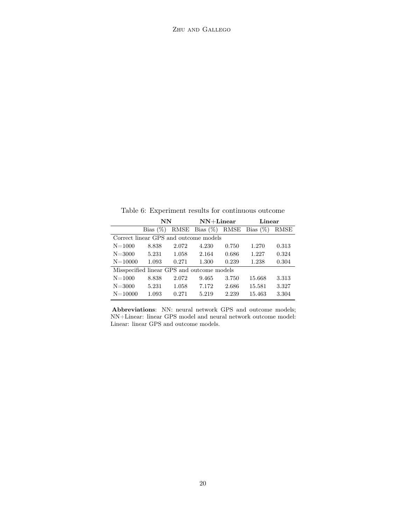<span id="page-19-0"></span>Table 6: Experiment results for continuous outcome

|             | NN                                    |       | $NN+Linear$                                |       | Linear |       |  |
|-------------|---------------------------------------|-------|--------------------------------------------|-------|--------|-------|--|
|             | Bias $(\%)$                           |       | RMSE Bias $(\%)$ RMSE Bias $(\%)$          |       |        | RMSE  |  |
|             | Correct linear GPS and outcome models |       |                                            |       |        |       |  |
| $N = 1000$  | 8.838                                 | 2.072 | 4.230                                      | 0.750 | 1.270  | 0.313 |  |
| $N = 3000$  | 5.231                                 | 1.058 | 2.164                                      | 0.686 | 1.227  | 0.324 |  |
| $N = 10000$ | 1.093                                 | 0.271 | 1.300                                      | 0.239 | 1.238  | 0.304 |  |
|             |                                       |       | Misspecified linear GPS and outcome models |       |        |       |  |
| $N = 1000$  | 8.838                                 | 2.072 | 9.465                                      | 3.750 | 15.668 | 3.313 |  |
| $N = 3000$  | 5.231                                 | 1.058 | 7.172                                      | 2.686 | 15.581 | 3.327 |  |
| $N = 10000$ | 1.093                                 | 0.271 | 5.219                                      | 2.239 | 15.463 | 3.304 |  |

Abbreviations: NN: neural network GPS and outcome models; NN+Linear: linear GPS model and neural network outcome model: Linear: linear GPS and outcome models.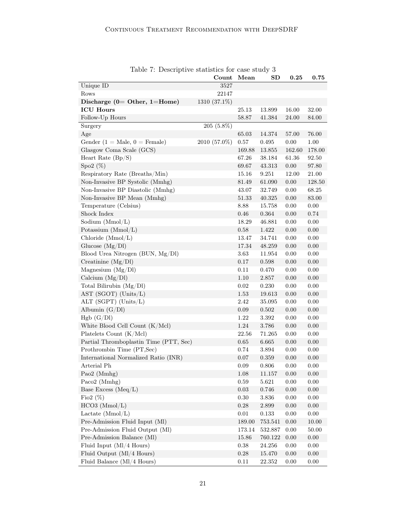|                                        | Count        | Mean       | SD          | $\bf 0.25$ | $\bf 0.75$ |
|----------------------------------------|--------------|------------|-------------|------------|------------|
| Unique ID                              | 3527         |            |             |            |            |
| Rows                                   | 22147        |            |             |            |            |
| Discharge ( $0=$ Other, 1=Home)        | 1310 (37.1%) |            |             |            |            |
| <b>ICU Hours</b>                       |              | 25.13      | 13.899      | 16.00      | 32.00      |
| Follow-Up Hours                        |              | 58.87      | 41.384      | 24.00      | 84.00      |
| Surgery                                | 205 (5.8%)   |            |             |            |            |
| Age                                    |              | 65.03      | 14.374      | 57.00      | 76.00      |
| Gender (1 = Male, $0 =$ Female)        | 2010 (57.0%) | 0.57       | 0.495       | 0.00       | 1.00       |
| Glasgow Coma Scale (GCS)               |              | 169.88     | 13.855      | 162.60     | 178.00     |
| Heart Rate $(Bp/S)$                    |              | 67.26      | 38.184      | 61.36      | 92.50      |
| Spo2 $(\%)$                            |              | 69.67      | 43.313      | $0.00\,$   | 97.80      |
| Respiratory Rate (Breaths/Min)         |              | 15.16      | 9.251       | 12.00      | $21.00\,$  |
| Non-Invasive BP Systolic (Mmhg)        |              | 81.49      | 61.090      | $0.00\,$   | 128.50     |
| Non-Invasive BP Diastolic (Mmhg)       |              | 43.07      | 32.749      | 0.00       | 68.25      |
| Non-Invasive BP Mean (Mmhg)            |              | 51.33      | 40.325      | $0.00\,$   | 83.00      |
| Temperature (Celsius)                  |              | 8.88       | 15.758      | 0.00       | 0.00       |
| Shock Index                            |              | 0.46       | 0.364       | $0.00\,$   | 0.74       |
| Sodium (Mmol/L)                        |              | 18.29      | 46.881      | 0.00       | $0.00\,$   |
| Potassium (Mmol/L)                     |              | 0.58       | 1.422       | 0.00       | 0.00       |
| Chloride (Mmol/L)                      |              | 13.47      | 34.741      | 0.00       | 0.00       |
| Glucose $(Mg/Dl)$                      |              | 17.34      | 48.259      | 0.00       | 0.00       |
| Blood Urea Nitrogen (BUN, Mg/Dl)       |              | 3.63       | 11.954      | 0.00       | 0.00       |
| Creatinine $(Mg/Dl)$                   |              | 0.17       | 0.598       | $0.00\,$   | 0.00       |
| Magnesium $(Mg/Dl)$                    |              | 0.11       | 0.470       | 0.00       | 0.00       |
| Calcium $(Mg/Dl)$                      |              | 1.10       | 2.857       | $0.00\,$   | 0.00       |
| Total Bilirubin (Mg/Dl)                |              | 0.02       | 0.230       | 0.00       | 0.00       |
| AST (SGOT) (Units/L)                   |              | 1.53       | 19.613      | 0.00       | 0.00       |
| ALT (SGPT) (Units/L)                   |              | 2.42       | 35.095      | 0.00       | 0.00       |
| Albumin $(G/Dl)$                       |              | 0.09       | 0.502       | 0.00       | 0.00       |
| Hgb (G/Dl)                             |              | 1.22       | 3.392       | 0.00       | 0.00       |
| White Blood Cell Count (K/Mcl)         |              | 1.24       | 3.786       | 0.00       | 0.00       |
| Platelets Count (K/Mcl)                |              | 22.56      | 71.265      | 0.00       | 0.00       |
| Partial Thromboplastin Time (PTT, Sec) |              | $0.65\,$   | 6.665       | 0.00       | 0.00       |
| Prothrombin Time (PT, Sec)             |              | 0.74       | 3.894       | 0.00       | 0.00       |
| International Normalized Ratio (INR)   |              | 0.07       | 0.359       | 0.00       | 0.00       |
| Arterial Ph                            |              | 0.09       | 0.806       | 0.00       | 0.00       |
| Pao2 (Mmhg)                            |              | 1.08       | 11.157      | $0.00\,$   | $0.00\,$   |
| Paco2 (Mmhg)                           |              | $\rm 0.59$ | 5.621       | $0.00\,$   | $0.00\,$   |
| Base Excess (Meq/L)                    |              | 0.03       | 0.746       | $0.00\,$   | 0.00       |
| Fio2 $(\%)$                            |              | $0.30\,$   | 3.836       | $0.00\,$   | $0.00\,$   |
| $HCO3$ (Mmol/L)                        |              | $0.28\,$   | $2.899\,$   | $0.00\,$   | 0.00       |
| Lactate $(Mmol/L)$                     |              | $0.01\,$   | $0.133\,$   | $0.00\,$   | $0.00\,$   |
| Pre-Admission Fluid Input (Ml)         |              | 189.00     | $753.541\,$ | $0.00\,$   | 10.00      |
| Pre-Admission Fluid Output (Ml)        |              | 173.14     | 532.887     | $0.00\,$   | $50.00\,$  |
| Pre-Admission Balance (MI)             |              | $15.86\,$  | 760.122     | $0.00\,$   | $0.00\,$   |
| Fluid Input (Ml/4 Hours)               |              | 0.38       | 24.256      | $0.00\,$   | $0.00\,$   |
| Fluid Output (Ml/4 Hours)              |              | $0.28\,$   | 15.470      | $0.00\,$   | $0.00\,$   |
| Fluid Balance (Ml/4 Hours)             |              | 0.11       | 22.352      | $0.00\,$   | $0.00\,$   |

Table 7: Descriptive statistics for case study 3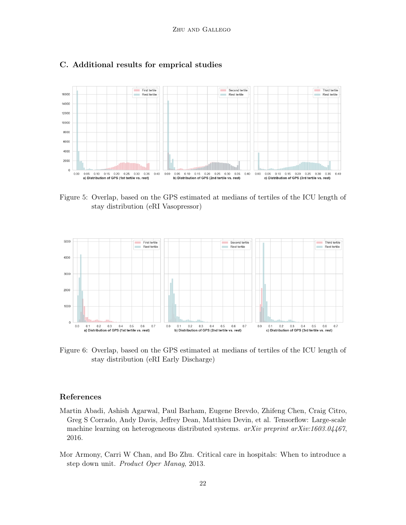

## C. Additional results for emprical studies

Figure 5: Overlap, based on the GPS estimated at medians of tertiles of the ICU length of stay distribution (eRI Vasopressor)



Figure 6: Overlap, based on the GPS estimated at medians of tertiles of the ICU length of stay distribution (eRI Early Discharge)

## References

- <span id="page-21-1"></span>Martin Abadi, Ashish Agarwal, Paul Barham, Eugene Brevdo, Zhifeng Chen, Craig Citro, Greg S Corrado, Andy Davis, Jeffrey Dean, Matthieu Devin, et al. Tensorflow: Large-scale machine learning on heterogeneous distributed systems. arXiv preprint arXiv:1603.04467, 2016.
- <span id="page-21-0"></span>Mor Armony, Carri W Chan, and Bo Zhu. Critical care in hospitals: When to introduce a step down unit. Product Oper Manag, 2013.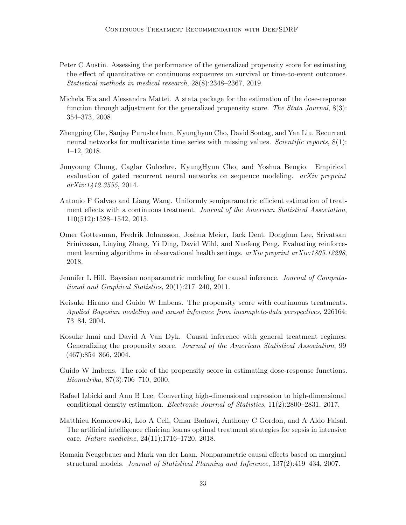- <span id="page-22-3"></span>Peter C Austin. Assessing the performance of the generalized propensity score for estimating the effect of quantitative or continuous exposures on survival or time-to-event outcomes. Statistical methods in medical research, 28(8):2348–2367, 2019.
- <span id="page-22-1"></span>Michela Bia and Alessandra Mattei. A stata package for the estimation of the dose-response function through adjustment for the generalized propensity score. The Stata Journal, 8(3): 354–373, 2008.
- <span id="page-22-11"></span>Zhengping Che, Sanjay Purushotham, Kyunghyun Cho, David Sontag, and Yan Liu. Recurrent neural networks for multivariate time series with missing values. Scientific reports, 8(1): 1–12, 2018.
- <span id="page-22-9"></span>Junyoung Chung, Caglar Gulcehre, KyungHyun Cho, and Yoshua Bengio. Empirical evaluation of gated recurrent neural networks on sequence modeling. *arXiv preprint* arXiv:1412.3555, 2014.
- <span id="page-22-5"></span>Antonio F Galvao and Liang Wang. Uniformly semiparametric efficient estimation of treatment effects with a continuous treatment. Journal of the American Statistical Association, 110(512):1528–1542, 2015.
- <span id="page-22-12"></span>Omer Gottesman, Fredrik Johansson, Joshua Meier, Jack Dent, Donghun Lee, Srivatsan Srinivasan, Linying Zhang, Yi Ding, David Wihl, and Xuefeng Peng. Evaluating reinforcement learning algorithms in observational health settings.  $a\overline{r}Xiv$  preprint  $a\overline{r}Xiv:1805.12298$ . 2018.
- <span id="page-22-4"></span>Jennifer L Hill. Bayesian nonparametric modeling for causal inference. Journal of Computational and Graphical Statistics, 20(1):217–240, 2011.
- <span id="page-22-0"></span>Keisuke Hirano and Guido W Imbens. The propensity score with continuous treatments. Applied Bayesian modeling and causal inference from incomplete-data perspectives, 226164: 73–84, 2004.
- <span id="page-22-2"></span>Kosuke Imai and David A Van Dyk. Causal inference with general treatment regimes: Generalizing the propensity score. Journal of the American Statistical Association, 99 (467):854–866, 2004.
- <span id="page-22-7"></span>Guido W Imbens. The role of the propensity score in estimating dose-response functions. Biometrika, 87(3):706–710, 2000.
- <span id="page-22-8"></span>Rafael Izbicki and Ann B Lee. Converting high-dimensional regression to high-dimensional conditional density estimation. Electronic Journal of Statistics, 11(2):2800–2831, 2017.
- <span id="page-22-10"></span>Matthieu Komorowski, Leo A Celi, Omar Badawi, Anthony C Gordon, and A Aldo Faisal. The artificial intelligence clinician learns optimal treatment strategies for sepsis in intensive care. Nature medicine, 24(11):1716–1720, 2018.
- <span id="page-22-6"></span>Romain Neugebauer and Mark van der Laan. Nonparametric causal effects based on marginal structural models. Journal of Statistical Planning and Inference, 137(2):419–434, 2007.